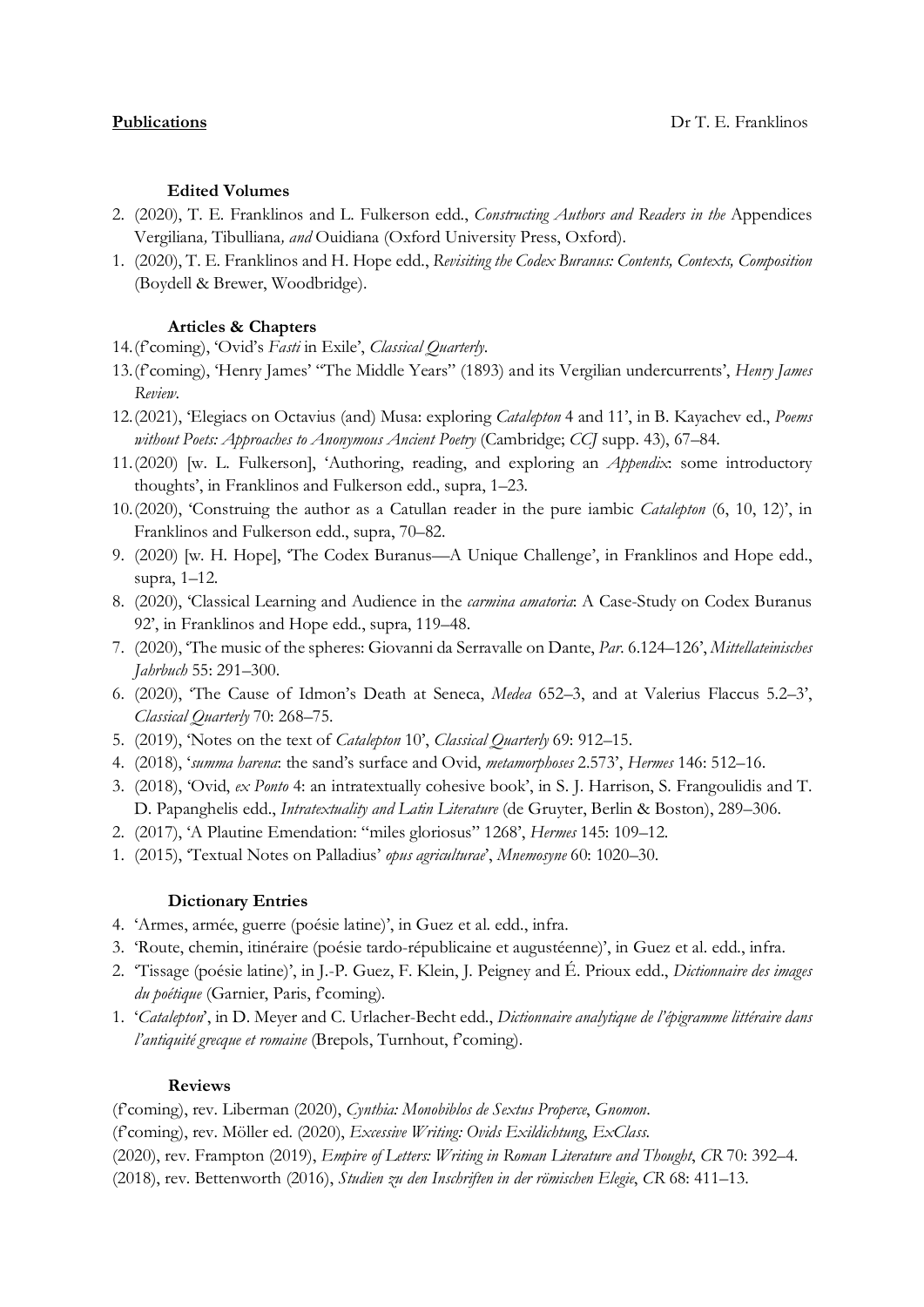# **Edited Volumes**

- 2. (2020), T. E. Franklinos and L. Fulkerson edd., *Constructing Authors and Readers in the* Appendices Vergiliana*,* Tibulliana*, and* Ouidiana (Oxford University Press, Oxford).
- 1. (2020), T. E. Franklinos and H. Hope edd., *Revisiting the Codex Buranus: Contents, Contexts, Composition* (Boydell & Brewer, Woodbridge).

# **Articles & Chapters**

- 14.(f'coming), 'Ovid's *Fasti* in Exile', *Classical Quarterly*.
- 13.(f'coming), 'Henry James' "The Middle Years" (1893) and its Vergilian undercurrents', *Henry James Review*.
- 12.(2021), 'Elegiacs on Octavius (and) Musa: exploring *Catalepton* 4 and 11', in B. Kayachev ed., *Poems without Poets: Approaches to Anonymous Ancient Poetry* (Cambridge; *CCJ* supp. 43), 67–84.
- 11.(2020) [w. L. Fulkerson], 'Authoring, reading, and exploring an *Appendix*: some introductory thoughts', in Franklinos and Fulkerson edd., supra, 1–23.
- 10.(2020), 'Construing the author as a Catullan reader in the pure iambic *Catalepton* (6, 10, 12)', in Franklinos and Fulkerson edd., supra, 70–82.
- 9. (2020) [w. H. Hope], 'The Codex Buranus—A Unique Challenge', in Franklinos and Hope edd., supra, 1–12.
- 8. (2020), 'Classical Learning and Audience in the *carmina amatoria*: A Case-Study on Codex Buranus 92', in Franklinos and Hope edd., supra, 119–48.
- 7. (2020), 'The music of the spheres: Giovanni da Serravalle on Dante, *Par.* 6.124–126', *Mittellateinisches Jahrbuch* 55: 291–300.
- 6. (2020), 'The Cause of Idmon's Death at Seneca, *Medea* 652–3, and at Valerius Flaccus 5.2–3', *Classical Quarterly* 70: 268–75.
- 5. (2019), 'Notes on the text of *Catalepton* 10', *Classical Quarterly* 69: 912–15.
- 4. (2018), '*summa harena*: the sand's surface and Ovid, *metamorphoses* 2.573', *Hermes* 146: 512–16.
- 3. (2018), 'Ovid, *ex Ponto* 4: an intratextually cohesive book', in S. J. Harrison, S. Frangoulidis and T. D. Papanghelis edd., *Intratextuality and Latin Literature* (de Gruyter, Berlin & Boston), 289–306.
- 2. (2017), 'A Plautine Emendation: "miles gloriosus" 1268', *Hermes* 145: 109–12.
- 1. (2015), 'Textual Notes on Palladius' *opus agriculturae*', *Mnemosyne* 60: 1020–30.

# **Dictionary Entries**

- 4. 'Armes, armée, guerre (poésie latine)', in Guez et al. edd., infra.
- 3. 'Route, chemin, itinéraire (poésie tardo-républicaine et augustéenne)', in Guez et al. edd., infra.
- 2. 'Tissage (poésie latine)', in J.-P. Guez, F. Klein, J. Peigney and É. Prioux edd., *Dictionnaire des images du poétique* (Garnier, Paris, f'coming).
- 1. '*Catalepton*', in D. Meyer and C. Urlacher-Becht edd., *Dictionnaire analytique de l'épigramme littéraire dans*  l'antiquité grecque et romaine (Brepols, Turnhout, f'coming).

# **Reviews**

(f'coming), rev. Liberman (2020), *Cynthia: Monobiblos de Sextus Properce*, *Gnomon*. (f'coming), rev. Möller ed. (2020), *Excessive Writing: Ovids Exildichtung*, *ExClass*.

(2020), rev. Frampton (2019), *Empire of Letters: Writing in Roman Literature and Thought*, *CR* 70: 392–4.

(2018), rev. Bettenworth (2016), *Studien zu den Inschriften in der römischen Elegie*, *CR* 68: 411–13.